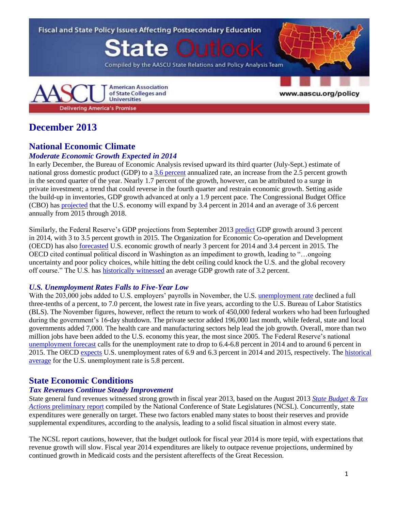

# **December 2013**

# **National Economic Climate**

## *Moderate Economic Growth Expected in 2014*

In early December, the Bureau of Economic Analysis revised upward its third quarter (July-Sept.) estimate of national gross domestic product (GDP) to a 3.6 [percent](http://www.bea.gov/newsreleases/national/gdp/gdpnewsrelease.htm) annualized rate, an increase from the 2.5 percent growth in the second quarter of the year. Nearly 1.7 percent of the growth, however, can be attributed to a surge in private investment; a trend that could reverse in the fourth quarter and restrain economic growth. Setting aside the build-up in inventories, GDP growth advanced at only a 1.9 percent pace. The Congressional Budget Office (CBO) has [projected](http://www.cbo.gov/sites/default/files/cbofiles/attachments/43907-BudgetOutlook.pdf) that the U.S. economy will expand by 3.4 percent in 2014 and an average of 3.6 percent annually from 2015 through 2018.

Similarly, the Federal Reserve's GDP projections from September 2013 [predict](http://www.federalreserve.gov/monetarypolicy/files/fomcprojtabl20130918.pdf) GDP growth around 3 percent in 2014, with 3 to 3.5 percent growth in 2015. The Organization for Economic Co-operation and Development (OECD) has also [forecasted](http://www.oecd.org/economy/outlook/Handout_English.pdf) U.S. economic growth of nearly 3 percent for 2014 and 3.4 percent in 2015. The OECD cited continual political discord in Washington as an impediment to growth, leading to "…ongoing uncertainty and poor policy choices, while hitting the debt ceiling could knock the U.S. and the global recovery off course." The U.S. has [historically witnessed](http://www.tradingeconomics.com/united-states/gdp-growth) an average GDP growth rate of 3.2 percent.

## *U.S. Unemployment Rates Falls to Five-Year Low*

With the 203,000 jobs added to U.S. employers' payrolls in November, the U.S. [unemployment rate](http://www.bls.gov/news.release/empsit.nr0.htm) declined a full three-tenths of a percent, to 7.0 percent, the lowest rate in five years, according to the U.S. Bureau of Labor Statistics (BLS). The November figures, however, reflect the return to work of 450,000 federal workers who had been furloughed during the government's 16-day shutdown. The private sector added 196,000 last month, while federal, state and local governments added 7,000. The health care and manufacturing sectors help lead the job growth. Overall, more than two million jobs have been added to the U.S. economy this year, the most since 2005. The Federal Reserve's national [unemployment forecast](http://www.federalreserve.gov/monetarypolicy/files/fomcprojtabl20130918.pdf) calls for the unemployment rate to drop to 6.4-6.8 percent in 2014 and to around 6 percent in 2015. The OECD [expects](http://www.oecd.org/economy/outlook/Handout_English.pdf) U.S. unemployment rates of 6.9 and 6.3 percent in 2014 and 2015, respectively. Th[e historical](http://www.tradingeconomics.com/united-states/unemployment-rate)  [average](http://www.tradingeconomics.com/united-states/unemployment-rate) for the U.S. unemployment rate is 5.8 percent.

# **State Economic Conditions**

## *Tax Revenues Continue Steady Improvement*

State general fund revenues witnessed strong growth in fiscal year 2013, based on the August 2013 *[State Budget & Tax](http://www.ncsl.org/Portals/1/Documents/fiscal/SBTA_PreliminaryReport_final.pdf)  Actions* [preliminary report](http://www.ncsl.org/Portals/1/Documents/fiscal/SBTA_PreliminaryReport_final.pdf) compiled by the National Conference of State Legislatures (NCSL). Concurrently, state expenditures were generally on target. These two factors enabled many states to boost their reserves and provide supplemental expenditures, according to the analysis, leading to a solid fiscal situation in almost every state.

The NCSL report cautions, however, that the budget outlook for fiscal year 2014 is more tepid, with expectations that revenue growth will slow. Fiscal year 2014 expenditures are likely to outpace revenue projections, undermined by continued growth in Medicaid costs and the persistent aftereffects of the Great Recession.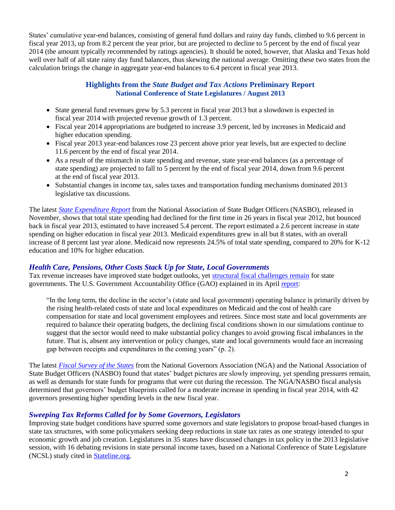States' cumulative year-end balances, consisting of general fund dollars and rainy day funds, climbed to 9.6 percent in fiscal year 2013, up from 8.2 percent the year prior, but are projected to decline to 5 percent by the end of fiscal year 2014 (the amount typically recommended by ratings agencies). It should be noted, however, that Alaska and Texas hold well over half of all state rainy day fund balances, thus skewing the national average. Omitting these two states from the calculation brings the change in aggregate year-end balances to 6.4 percent in fiscal year 2013.

#### **Highlights from the** *State Budget and Tax Actions* **Preliminary Report National Conference of State Legislatures / August 2013**

- State general fund revenues grew by 5.3 percent in fiscal year 2013 but a slowdown is expected in fiscal year 2014 with projected revenue growth of 1.3 percent.
- Fiscal year 2014 appropriations are budgeted to increase 3.9 percent, led by increases in Medicaid and higher education spending.
- Fiscal year 2013 year-end balances rose 23 percent above prior year levels, but are expected to decline 11.6 percent by the end of fiscal year 2014.
- As a result of the mismatch in state spending and revenue, state year-end balances (as a percentage of state spending) are projected to fall to 5 percent by the end of fiscal year 2014, down from 9.6 percent at the end of fiscal year 2013.
- Substantial changes in income tax, sales taxes and transportation funding mechanisms dominated 2013 legislative tax discussions.

The latest *[State Expenditure Report](http://www.nasbo.org/sites/default/files/State%20Expenditure%20Report-Summary_0.pdf)* from the National Association of State Budget Officers (NASBO), released in November, shows that total state spending had declined for the first time in 26 years in fiscal year 2012, but bounced back in fiscal year 2013, estimated to have increased 5.4 percent. The report estimated a 2.6 percent increase in state spending on higher education in fiscal year 2013. Medicaid expenditures grew in all but 8 states, with an overall increase of 8 percent last year alone. Medicaid now represents 24.5% of total state spending, compared to 20% for K-12 education and 10% for higher education.

## *Health Care, Pensions, Other Costs Stack Up for State, Local Governments*

Tax revenue increases have improved state budget outlooks, yet [structural fiscal challenges remain](http://www.nytimes.com/2013/06/01/us/surpluses-help-but-fiscal-woes-for-states-go-on.html?smid=tw-share&_r=1&) for state governments. The U.S. Government Accountability Office (GAO) explained in its April [report:](http://www.gao.gov/assets/660/654255.pdf)

"In the long term, the decline in the sector's (state and local government) operating balance is primarily driven by the rising health-related costs of state and local expenditures on Medicaid and the cost of health care compensation for state and local government employees and retirees. Since most state and local governments are required to balance their operating budgets, the declining fiscal conditions shown in our simulations continue to suggest that the sector would need to make substantial policy changes to avoid growing fiscal imbalances in the future. That is, absent any intervention or policy changes, state and local governments would face an increasing gap between receipts and expenditures in the coming years" (p. 2).

The latest *[Fiscal Survey of the States](http://www.nga.org/files/live/sites/NGA/files/pdf/2013/FSS1306.PDF)* from the National Governors Association (NGA) and the National Association of State Budget Officers (NASBO) found that states' budget pictures are slowly improving, yet spending pressures remain, as well as demands for state funds for programs that were cut during the recession. The NGA/NASBO fiscal analysis determined that governors' budget blueprints called for a moderate increase in spending in fiscal year 2014, with 42 governors presenting higher spending levels in the new fiscal year.

## *Sweeping Tax Reforms Called for by Some Governors, Legislators*

Improving state budget conditions have spurred some governors and state legislators to propose broad-based changes in state tax structures, with some policymakers seeking deep reductions in state tax rates as one strategy intended to spur economic growth and job creation. Legislatures in 35 states have discussed changes in tax policy in the 2013 legislative session, with 16 debating revisions in state personal income taxes, based on a National Conference of State Legislature (NCSL) study cited in [Stateline.org.](http://www.pewstates.org/projects/stateline/headlines/as-revenues-rebounded-many-states-cut-taxes-85899482175)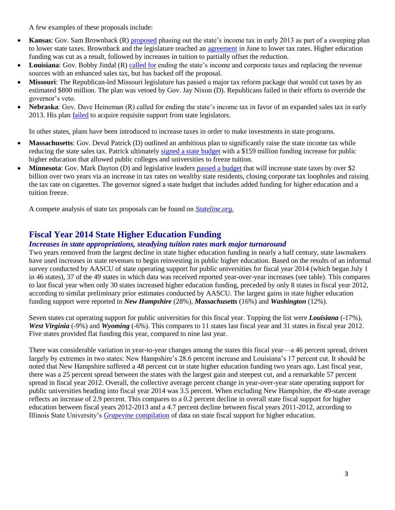A few examples of these proposals include:

- **Kansas**: Gov. Sam Brownback (R) [proposed](http://www.nytimes.com/2013/01/24/us/politics/gov-sam-brownback-seeks-to-end-kansas-income-tax.html) phasing out the state's income tax in early 2013 as part of a sweeping plan to lower state taxes. Brownback and the legislature reached an *[agreement](http://www.kansascity.com/2013/06/13/4290891/brownback-signs-tax-bill.html)* in June to lower tax rates. Higher education funding was cut as a result, followed by increases in tuition to partially offset the reduction.
- **Louisiana**: Gov. Bobby Jindal (R) [called for](http://www.nytimes.com/2013/04/09/us/gov-bobby-jindal-shelves-tax-plan-in-louisiana.html?pagewanted=all&_r=0) ending the state's income and corporate taxes and replacing the revenue sources with an enhanced sales tax, but has backed off the proposal.
- **Missouri**: The Republican-led Missouri legislature has passed a major tax reform package that would cut taxes by an estimated \$800 million. The plan was vetoed by Gov. Jay Nixon (D). Republicans failed in their efforts to override the governor's veto.
- **Nebraska**: Gov. Dave Heineman (R) called for ending the state's income tax in favor of an expanded sales tax in early 2013. His plan [failed](http://www.omaha.com/article/20130216/NEWS/130219576) to acquire requisite support from state legislators.

In other states, plans have been introduced to increase taxes in order to make investments in state programs.

- **Massachusetts**: Gov. Deval Patrick (D) outlined an ambitious plan to significantly raise the state income tax while reducing the state sales tax. Patrick ultimatel[y signed a state budget](http://www.masslive.com/politics/index.ssf/2013/07/gov_deval_patrick_signs_pared.html) with a \$159 million funding increase for public higher education that allowed public colleges and universities to freeze tuition.
- **Minnesota**: Gov. Mark Dayton (D) and legislative leaders [passed a budget](http://www.postbulletin.com/news/politics/dayton-signs-minn-budget-bills-other-legislation/article_66a3db72-6a1f-5ab5-903f-d3dda48f142d.html) that will increase state taxes by over \$2 billion over two years via an increase in tax rates on wealthy state residents, closing corporate tax loopholes and raising the tax rate on cigarettes. The governor signed a state budget that includes added funding for higher education and a tuition freeze.

A compete analysis of state tax proposals can be found on *[Stateline.org.](http://www.pewstates.org/projects/stateline/headlines/no-new-taxes-it-depends-on-where-you-live-85899482890)*

# **Fiscal Year 2014 State Higher Education Funding**

#### *Increases in state appropriations, steadying tuition rates mark major turnaround*

Two years removed from the largest decline in state higher education funding in nearly a half century, state lawmakers have used increases in state revenues to begin reinvesting in public higher education. Based on the results of an informal survey conducted by AASCU of state operating support for public universities for fiscal year 2014 (which began July 1 in 46 states), 37 of the 49 states in which data was received reported year-over-year increases (see table). This compares to last fiscal year when only 30 states increased higher education funding, preceded by only 8 states in fiscal year 2012, according to similar preliminary prior estimates conducted by AASCU. The largest gains in state higher education funding support were reported in *New Hampshire* (28%), *Massachusetts* (16%) and *Washington* (12%).

Seven states cut operating support for public universities for this fiscal year. Topping the list were *Louisiana* (-17%), *West Virginia* (-9%) and *Wyoming* (-6%). This compares to 11 states last fiscal year and 31 states in fiscal year 2012. Five states provided flat funding this year, compared to nine last year.

There was considerable variation in year-to-year changes among the states this fiscal year—a 46 percent spread, driven largely by extremes in two states: New Hampshire's 28.6 percent increase and Louisiana's 17 percent cut. It should be noted that New Hampshire suffered a 48 percent cut in state higher education funding two years ago. Last fiscal year, there was a 25 percent spread between the states with the largest gain and steepest cut, and a remarkable 57 percent spread in fiscal year 2012. Overall, the collective average percent change in year-over-year state operating support for public universities heading into fiscal year 2014 was 3.5 percent. When excluding New Hampshire, the 49-state average reflects an increase of 2.9 percent. This compares to a 0.2 percent decline in overall state fiscal support for higher education between fiscal years 2012-2013 and a 4.7 percent decline between fiscal years 2011-2012, according to Illinois State University's *Grapevine* [compilation](http://grapevine.illinoisstate.edu/tables/index.htm) of data on state fiscal support for higher education.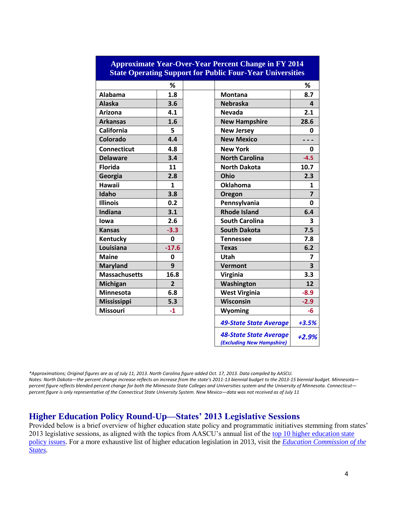| State Operating Support for Fublic Four-Tear Universities |                |                               |                         |
|-----------------------------------------------------------|----------------|-------------------------------|-------------------------|
|                                                           | %              |                               | %                       |
| <b>Alabama</b>                                            | 1.8            | <b>Montana</b>                | 8.7                     |
| <b>Alaska</b>                                             | 3.6            | <b>Nebraska</b>               | 4                       |
| Arizona                                                   | 4.1            | <b>Nevada</b>                 | 2.1                     |
| <b>Arkansas</b>                                           | 1.6            | <b>New Hampshire</b>          | 28.6                    |
| <b>California</b>                                         | 5              | <b>New Jersey</b>             | 0                       |
| Colorado                                                  | 4.4            | <b>New Mexico</b>             |                         |
| <b>Connecticut</b>                                        | 4.8            | <b>New York</b>               | 0                       |
| <b>Delaware</b>                                           | 3.4            | <b>North Carolina</b>         | $-4.5$                  |
| <b>Florida</b>                                            | 11             | <b>North Dakota</b>           | 10.7                    |
| Georgia                                                   | 2.8            | Ohio                          | 2.3                     |
| <b>Hawaii</b>                                             | $\mathbf{1}$   | <b>Oklahoma</b>               | 1                       |
| Idaho                                                     | 3.8            | Oregon                        | $\overline{7}$          |
| <b>Illinois</b>                                           | 0.2            | Pennsylvania                  | 0                       |
| Indiana                                                   | 3.1            | <b>Rhode Island</b>           | 6.4                     |
| lowa                                                      | 2.6            | <b>South Carolina</b>         | 3                       |
| <b>Kansas</b>                                             | $-3.3$         | <b>South Dakota</b>           | 7.5                     |
| Kentucky                                                  | 0              | <b>Tennessee</b>              | 7.8                     |
| Louisiana                                                 | $-17.6$        | <b>Texas</b>                  | 6.2                     |
| <b>Maine</b>                                              | 0              | Utah                          | $\overline{7}$          |
| <b>Maryland</b>                                           | 9              | <b>Vermont</b>                | $\overline{\mathbf{3}}$ |
| <b>Massachusetts</b>                                      | 16.8           | <b>Virginia</b>               | 3.3                     |
| <b>Michigan</b>                                           | $\overline{2}$ | Washington                    | 12                      |
| <b>Minnesota</b>                                          | 6.8            | <b>West Virginia</b>          | $-8.9$                  |
| <b>Mississippi</b>                                        | 5.3            | Wisconsin                     | $-2.9$                  |
| <b>Missouri</b>                                           | $-1$           | <b>Wyoming</b>                | $-6$                    |
|                                                           |                | <b>49-State State Average</b> | $+3.5%$                 |

## **Approximate Year-Over-Year Percent Change in FY 2014 State Operating Support for Public Four-Year Universities**

*\*Approximations; Original figures are as of July 11, 2013. North Carolina figure added Oct. 17, 2013. Data compiled by AASCU. Notes: North Dakota—the percent change increase reflects an increase from the state's 2011-13 biennial budget to the 2013-15 biennial budget. Minnesota percent figure reflects blended percent change for both the Minnesota State Colleges and Universities system and the University of Minnesota. Connecticut percent figure is only representative of the Connecticut State University System. New Mexico—data was not received as of July 11*

*48-State State Average (Excluding New Hampshire)*

*+2.9%*

# **Higher Education Policy Round-Up—States' 2013 Legislative Sessions**

Provided below is a brief overview of higher education state policy and programmatic initiatives stemming from states' 2013 legislative sessions, as aligned with the topics from AASCU's annual list of the top 10 higher education state [policy issues.](http://www.aascu.org/policy/publications/policy-matters/topten2013.pdf) For a more exhaustive list of higher education legislation in 2013, visit the *[Education Commission of the](http://www.ecs.org/ecs/ecscat.nsf/Web2013All?OpenView&Count=-1)  [States.](http://www.ecs.org/ecs/ecscat.nsf/Web2013All?OpenView&Count=-1)*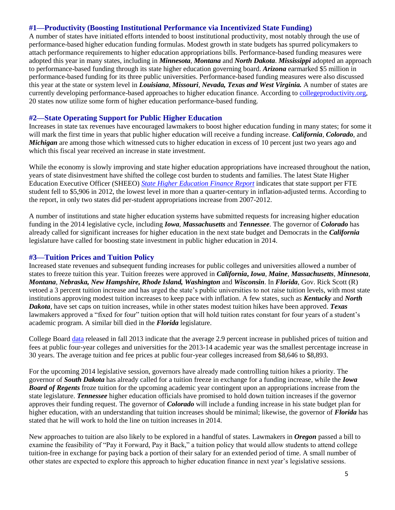#### **#1—Productivity (Boosting Institutional Performance via Incentivized State Funding)**

A number of states have initiated efforts intended to boost institutional productivity, most notably through the use of performance-based higher education funding formulas. Modest growth in state budgets has spurred policymakers to attach performance requirements to higher education appropriations bills. Performance-based funding measures were adopted this year in many states, including in *Minnesota*, *Montana* and *North Dakota*. *Mississippi* adopted an approach to performance-based funding through its state higher education governing board. *Arizona* earmarked \$5 million in performance-based funding for its three public universities. Performance-based funding measures were also discussed this year at the state or system level in *Louisiana*, *Missouri*, *Nevada, Texas and West Virginia.* A number of states are currently developing performance-based approaches to higher education finance. According to [collegeproductivity.org,](http://www.collegeproductivity.org/states) 20 states now utilize some form of higher education performance-based funding.

#### **#2—State Operating Support for Public Higher Education**

Increases in state tax revenues have encouraged lawmakers to boost higher education funding in many states; for some it will mark the first time in years that public higher education will receive a funding increase. *California*, *Colorado*, and *Michigan* are among those which witnessed cuts to higher education in excess of 10 percent just two years ago and which this fiscal year received an increase in state investment.

While the economy is slowly improving and state higher education appropriations have increased throughout the nation, years of state disinvestment have shifted the college cost burden to students and families. The latest State Higher Education Executive Officer (SHEEO) *[State Higher Education Finance Report](http://www.sheeo.org/sites/default/files/publications/SHEF%20FY%2012-20130322rev.pdf)* indicates that state support per FTE student fell to \$5,906 in 2012, the lowest level in more than a quarter-century in inflation-adjusted terms. According to the report, in only two states did per-student appropriations increase from 2007-2012.

A number of institutions and state higher education systems have submitted requests for increasing higher education funding in the 2014 legislative cycle, including *Iowa*, *Massachusetts* and *Tennessee*. The governor of *Colorado* has already called for significant increases for higher education in the next state budget and Democrats in the *California*  legislature have called for boosting state investment in public higher education in 2014.

#### **#3—Tuition Prices and Tuition Policy**

Increased state revenues and subsequent funding increases for public colleges and universities allowed a number of states to freeze tuition this year. Tuition freezes were approved in *California***,** *Iowa*, *Maine*, *Massachusetts*, *Minnesota*, *Montana*, *Nebraska, New Hampshire, Rhode Island, Washington* and *Wisconsin*. In *Florida*, Gov. Rick Scott (R) vetoed a 3 percent tuition increase and has urged the state's public universities to not raise tuition levels, with most state institutions approving modest tuition increases to keep pace with inflation. A few states, such as *Kentucky* and *North Dakota*, have set caps on tuition increases, while in other states modest tuition hikes have been approved. *Texas* lawmakers approved a "fixed for four" tuition option that will hold tuition rates constant for four years of a student's academic program. A similar bill died in the *Florida* legislature.

College Board [data](http://trends.collegeboard.org/sites/default/files/college-pricing-2013-full-report.pdf) released in fall 2013 indicate that the average 2.9 percent increase in published prices of tuition and fees at public four-year colleges and universities for the 2013-14 academic year was the smallest percentage increase in 30 years. The average tuition and fee prices at public four-year colleges increased from \$8,646 to \$8,893.

For the upcoming 2014 legislative session, governors have already made controlling tuition hikes a priority. The governor of *South Dakota* has already called for a tuition freeze in exchange for a funding increase, while the *Iowa Board of Regents* froze tuition for the upcoming academic year contingent upon an appropriations increase from the state legislature. *Tennessee* higher education officials have promised to hold down tuition increases if the governor approves their funding request. The governor of *Colorado* will include a funding increase in his state budget plan for higher education, with an understanding that tuition increases should be minimal; likewise, the governor of *Florida* has stated that he will work to hold the line on tuition increases in 2014.

New approaches to tuition are also likely to be explored in a handful of states. Lawmakers in *Oregon* passed a bill to examine the feasibility of "Pay it Forward, Pay it Back," a tuition policy that would allow students to attend college tuition-free in exchange for paying back a portion of their salary for an extended period of time. A small number of other states are expected to explore this approach to higher education finance in next year's legislative sessions.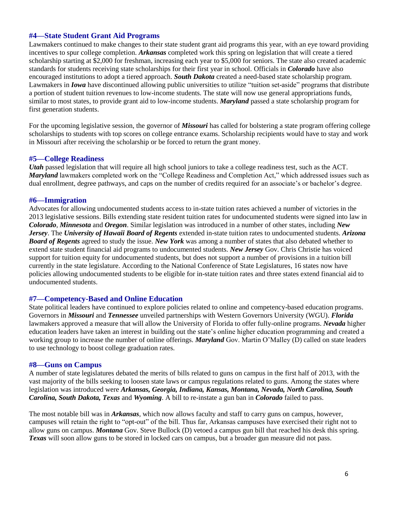#### **#4—State Student Grant Aid Programs**

Lawmakers continued to make changes to their state student grant aid programs this year, with an eye toward providing incentives to spur college completion. *Arkansas* completed work this spring on legislation that will create a tiered scholarship starting at \$2,000 for freshman, increasing each year to \$5,000 for seniors. The state also created academic standards for students receiving state scholarships for their first year in school. Officials in *Colorado* have also encouraged institutions to adopt a tiered approach. *South Dakota* created a need-based state scholarship program. Lawmakers in *Iowa* have discontinued allowing public universities to utilize "tuition set-aside" programs that distribute a portion of student tuition revenues to low-income students. The state will now use general appropriations funds, similar to most states, to provide grant aid to low-income students. *Maryland* passed a state scholarship program for first generation students.

For the upcoming legislative session, the governor of *Missouri* has called for bolstering a state program offering college scholarships to students with top scores on college entrance exams. Scholarship recipients would have to stay and work in Missouri after receiving the scholarship or be forced to return the grant money.

#### **#5—College Readiness**

*Utah* passed legislation that will require all high school juniors to take a college readiness test, such as the ACT. *Maryland* lawmakers completed work on the "College Readiness and Completion Act," which addressed issues such as dual enrollment, degree pathways, and caps on the number of credits required for an associate's or bachelor's degree.

#### **#6—Immigration**

Advocates for allowing undocumented students access to in-state tuition rates achieved a number of victories in the 2013 legislative sessions. Bills extending state resident tuition rates for undocumented students were signed into law in *Colorado*, *Minnesota* and *Oregon*. Similar legislation was introduced in a number of other states, including *New Jersey*. The *University of Hawaii Board of Regents* extended in-state tuition rates to undocumented students. *Arizona Board of Regents* agreed to study the issue. *New York* was among a number of states that also debated whether to extend state student financial aid programs to undocumented students. *New Jersey* Gov. Chris Christie has voiced support for tuition equity for undocumented students, but does not support a number of provisions in a tuition bill currently in the state legislature. According to the National Conference of State Legislatures, 16 states now have policies allowing undocumented students to be eligible for in-state tuition rates and three states extend financial aid to undocumented students.

#### **#7—Competency-Based and Online Education**

State political leaders have continued to explore policies related to online and competency-based education programs. Governors in *Missouri* and *Tennessee* unveiled partnerships with Western Governors University (WGU). *Florida* lawmakers approved a measure that will allow the University of Florida to offer fully-online programs. *Nevada* higher education leaders have taken an interest in building out the state's online higher education programming and created a working group to increase the number of online offerings. *Maryland* Gov. Martin O'Malley (D) called on state leaders to use technology to boost college graduation rates.

#### **#8—Guns on Campus**

A number of state legislatures debated the merits of bills related to guns on campus in the first half of 2013, with the vast majority of the bills seeking to loosen state laws or campus regulations related to guns. Among the states where legislation was introduced were *Arkansas, Georgia, Indiana, Kansas, Montana, Nevada, North Carolina, South Carolina, South Dakota, Texas* and *Wyoming*. A bill to re-instate a gun ban in *Colorado* failed to pass.

The most notable bill was in *Arkansas*, which now allows faculty and staff to carry guns on campus, however, campuses will retain the right to "opt-out" of the bill. Thus far, Arkansas campuses have exercised their right not to allow guns on campus. *Montana* Gov. Steve Bullock (D) vetoed a campus gun bill that reached his desk this spring. *Texas* will soon allow guns to be stored in locked cars on campus, but a broader gun measure did not pass.